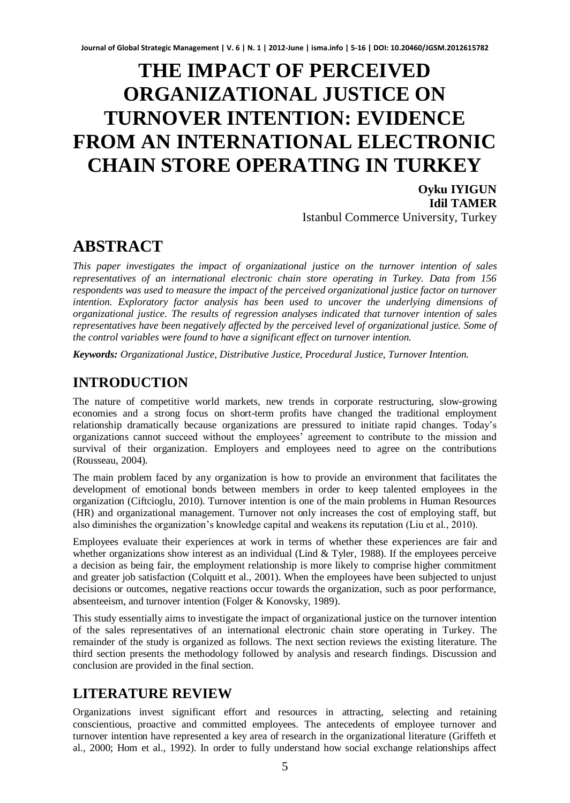# **THE IMPACT OF PERCEIVED ORGANIZATIONAL JUSTICE ON TURNOVER INTENTION: EVIDENCE FROM AN INTERNATIONAL ELECTRONIC CHAIN STORE OPERATING IN TURKEY**

**Oyku IYIGUN Idil TAMER**  Istanbul Commerce University, Turkey

## **ABSTRACT**

*This paper investigates the impact of organizational justice on the turnover intention of sales representatives of an international electronic chain store operating in Turkey. Data from 156 respondents was used to measure the impact of the perceived organizational justice factor on turnover intention. Exploratory factor analysis has been used to uncover the underlying dimensions of organizational justice. The results of regression analyses indicated that turnover intention of sales representatives have been negatively affected by the perceived level of organizational justice. Some of the control variables were found to have a significant effect on turnover intention.* 

*Keywords: Organizational Justice, Distributive Justice, Procedural Justice, Turnover Intention.* 

## **INTRODUCTION**

The nature of competitive world markets, new trends in corporate restructuring, slow-growing economies and a strong focus on short-term profits have changed the traditional employment relationship dramatically because organizations are pressured to initiate rapid changes. Today's organizations cannot succeed without the employees' agreement to contribute to the mission and survival of their organization. Employers and employees need to agree on the contributions (Rousseau, 2004).

The main problem faced by any organization is how to provide an environment that facilitates the development of emotional bonds between members in order to keep talented employees in the organization (Ciftcioglu, 2010). Turnover intention is one of the main problems in Human Resources (HR) and organizational management. Turnover not only increases the cost of employing staff, but also diminishes the organization's knowledge capital and weakens its reputation (Liu et al., 2010).

Employees evaluate their experiences at work in terms of whether these experiences are fair and whether organizations show interest as an individual (Lind & Tyler, 1988). If the employees perceive a decision as being fair, the employment relationship is more likely to comprise higher commitment and greater job satisfaction (Colquitt et al., 2001). When the employees have been subjected to unjust decisions or outcomes, negative reactions occur towards the organization, such as poor performance, absenteeism, and turnover intention (Folger & Konovsky, 1989).

This study essentially aims to investigate the impact of organizational justice on the turnover intention of the sales representatives of an international electronic chain store operating in Turkey. The remainder of the study is organized as follows. The next section reviews the existing literature. The third section presents the methodology followed by analysis and research findings. Discussion and conclusion are provided in the final section.

### **LITERATURE REVIEW**

Organizations invest significant effort and resources in attracting, selecting and retaining conscientious, proactive and committed employees. The antecedents of employee turnover and turnover intention have represented a key area of research in the organizational literature (Griffeth et al., 2000; Hom et al., 1992). In order to fully understand how social exchange relationships affect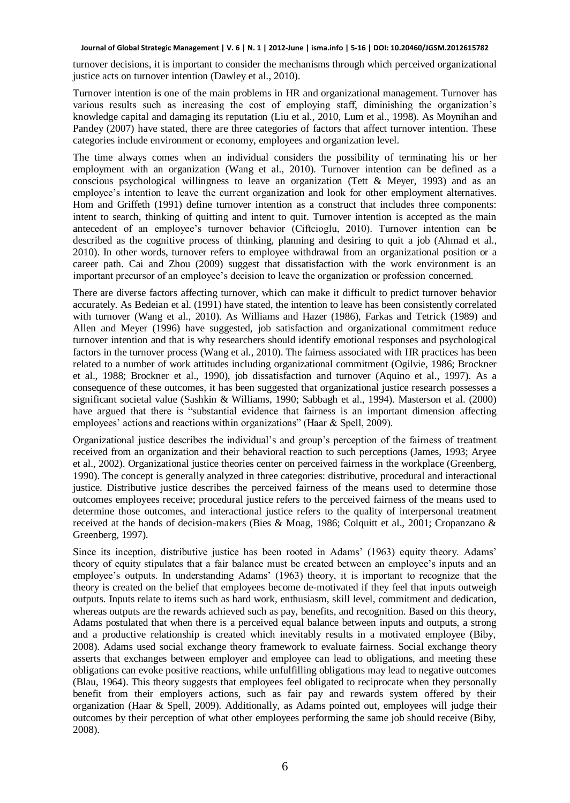turnover decisions, it is important to consider the mechanisms through which perceived organizational justice acts on turnover intention (Dawley et al., 2010).

Turnover intention is one of the main problems in HR and organizational management. Turnover has various results such as increasing the cost of employing staff, diminishing the organization's knowledge capital and damaging its reputation (Liu et al., 2010, Lum et al., 1998). As Moynihan and Pandey (2007) have stated, there are three categories of factors that affect turnover intention. These categories include environment or economy, employees and organization level.

The time always comes when an individual considers the possibility of terminating his or her employment with an organization (Wang et al., 2010). Turnover intention can be defined as a conscious psychological willingness to leave an organization (Tett & Meyer, 1993) and as an employee's intention to leave the current organization and look for other employment alternatives. Hom and Griffeth (1991) define turnover intention as a construct that includes three components: intent to search, thinking of quitting and intent to quit. Turnover intention is accepted as the main antecedent of an employee's turnover behavior (Ciftcioglu, 2010). Turnover intention can be described as the cognitive process of thinking, planning and desiring to quit a job (Ahmad et al., 2010). In other words, turnover refers to employee withdrawal from an organizational position or a career path. Cai and Zhou (2009) suggest that dissatisfaction with the work environment is an important precursor of an employee's decision to leave the organization or profession concerned.

There are diverse factors affecting turnover, which can make it difficult to predict turnover behavior accurately. As Bedeian et al. (1991) have stated, the intention to leave has been consistently correlated with turnover (Wang et al., 2010). As Williams and Hazer (1986), Farkas and Tetrick (1989) and Allen and Meyer (1996) have suggested, job satisfaction and organizational commitment reduce turnover intention and that is why researchers should identify emotional responses and psychological factors in the turnover process (Wang et al., 2010). The fairness associated with HR practices has been related to a number of work attitudes including organizational commitment (Ogilvie, 1986; Brockner et al., 1988; Brockner et al., 1990), job dissatisfaction and turnover (Aquino et al., 1997). As a consequence of these outcomes, it has been suggested that organizational justice research possesses a significant societal value (Sashkin & Williams, 1990; Sabbagh et al., 1994). Masterson et al. (2000) have argued that there is "substantial evidence that fairness is an important dimension affecting employees' actions and reactions within organizations" (Haar & Spell, 2009).

Organizational justice describes the individual's and group's perception of the fairness of treatment received from an organization and their behavioral reaction to such perceptions (James, 1993; Aryee et al., 2002). Organizational justice theories center on perceived fairness in the workplace (Greenberg, 1990). The concept is generally analyzed in three categories: distributive, procedural and interactional justice. Distributive justice describes the perceived fairness of the means used to determine those outcomes employees receive; procedural justice refers to the perceived fairness of the means used to determine those outcomes, and interactional justice refers to the quality of interpersonal treatment received at the hands of decision-makers (Bies & Moag, 1986; Colquitt et al., 2001; Cropanzano & Greenberg, 1997).

Since its inception, distributive justice has been rooted in Adams' (1963) equity theory. Adams' theory of equity stipulates that a fair balance must be created between an employee's inputs and an employee's outputs. In understanding Adams' (1963) theory, it is important to recognize that the theory is created on the belief that employees become de-motivated if they feel that inputs outweigh outputs. Inputs relate to items such as hard work, enthusiasm, skill level, commitment and dedication, whereas outputs are the rewards achieved such as pay, benefits, and recognition. Based on this theory, Adams postulated that when there is a perceived equal balance between inputs and outputs, a strong and a productive relationship is created which inevitably results in a motivated employee (Biby, 2008). Adams used social exchange theory framework to evaluate fairness. Social exchange theory asserts that exchanges between employer and employee can lead to obligations, and meeting these obligations can evoke positive reactions, while unfulfilling obligations may lead to negative outcomes (Blau, 1964). This theory suggests that employees feel obligated to reciprocate when they personally benefit from their employers actions, such as fair pay and rewards system offered by their organization (Haar & Spell, 2009). Additionally, as Adams pointed out, employees will judge their outcomes by their perception of what other employees performing the same job should receive (Biby, 2008).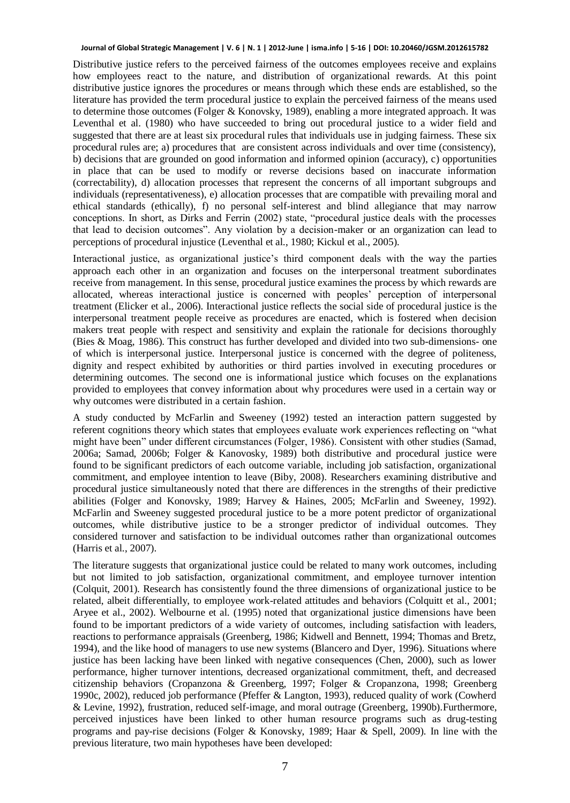Distributive justice refers to the perceived fairness of the outcomes employees receive and explains how employees react to the nature, and distribution of organizational rewards. At this point distributive justice ignores the procedures or means through which these ends are established, so the literature has provided the term procedural justice to explain the perceived fairness of the means used to determine those outcomes (Folger & Konovsky, 1989), enabling a more integrated approach. It was Leventhal et al. (1980) who have succeeded to bring out procedural justice to a wider field and suggested that there are at least six procedural rules that individuals use in judging fairness. These six procedural rules are; a) procedures that are consistent across individuals and over time (consistency), b) decisions that are grounded on good information and informed opinion (accuracy), c) opportunities in place that can be used to modify or reverse decisions based on inaccurate information (correctability), d) allocation processes that represent the concerns of all important subgroups and individuals (representativeness), e) allocation processes that are compatible with prevailing moral and ethical standards (ethically), f) no personal self-interest and blind allegiance that may narrow conceptions. In short, as Dirks and Ferrin (2002) state, "procedural justice deals with the processes that lead to decision outcomes". Any violation by a decision-maker or an organization can lead to perceptions of procedural injustice (Leventhal et al., 1980; Kickul et al., 2005).

Interactional justice, as organizational justice's third component deals with the way the parties approach each other in an organization and focuses on the interpersonal treatment subordinates receive from management. In this sense, procedural justice examines the process by which rewards are allocated, whereas interactional justice is concerned with peoples' perception of interpersonal treatment (Elicker et al., 2006). Interactional justice reflects the social side of procedural justice is the interpersonal treatment people receive as procedures are enacted, which is fostered when decision makers treat people with respect and sensitivity and explain the rationale for decisions thoroughly (Bies & Moag, 1986). This construct has further developed and divided into two sub-dimensions- one of which is interpersonal justice. Interpersonal justice is concerned with the degree of politeness, dignity and respect exhibited by authorities or third parties involved in executing procedures or determining outcomes. The second one is informational justice which focuses on the explanations provided to employees that convey information about why procedures were used in a certain way or why outcomes were distributed in a certain fashion.

A study conducted by McFarlin and Sweeney (1992) tested an interaction pattern suggested by referent cognitions theory which states that employees evaluate work experiences reflecting on "what might have been" under different circumstances (Folger, 1986). Consistent with other studies (Samad, 2006a; Samad, 2006b; Folger & Kanovosky, 1989) both distributive and procedural justice were found to be significant predictors of each outcome variable, including job satisfaction, organizational commitment, and employee intention to leave (Biby, 2008). Researchers examining distributive and procedural justice simultaneously noted that there are differences in the strengths of their predictive abilities (Folger and Konovsky, 1989; Harvey & Haines, 2005; McFarlin and Sweeney, 1992). McFarlin and Sweeney suggested procedural justice to be a more potent predictor of organizational outcomes, while distributive justice to be a stronger predictor of individual outcomes. They considered turnover and satisfaction to be individual outcomes rather than organizational outcomes (Harris et al., 2007).

The literature suggests that organizational justice could be related to many work outcomes, including but not limited to job satisfaction, organizational commitment, and employee turnover intention (Colquit, 2001). Research has consistently found the three dimensions of organizational justice to be related, albeit differentially, to employee work-related attitudes and behaviors (Colquitt et al., 2001; Aryee et al., 2002). Welbourne et al. (1995) noted that organizational justice dimensions have been found to be important predictors of a wide variety of outcomes, including satisfaction with leaders, reactions to performance appraisals (Greenberg, 1986; Kidwell and Bennett, 1994; Thomas and Bretz, 1994), and the like hood of managers to use new systems (Blancero and Dyer, 1996). Situations where justice has been lacking have been linked with negative consequences (Chen, 2000), such as lower performance, higher turnover intentions, decreased organizational commitment, theft, and decreased citizenship behaviors (Cropanzona & Greenberg, 1997; Folger & Cropanzona, 1998; Greenberg 1990c, 2002), reduced job performance (Pfeffer & Langton, 1993), reduced quality of work (Cowherd & Levine, 1992), frustration, reduced self-image, and moral outrage (Greenberg, 1990b).Furthermore, perceived injustices have been linked to other human resource programs such as drug-testing programs and pay-rise decisions (Folger & Konovsky, 1989; Haar & Spell, 2009). In line with the previous literature, two main hypotheses have been developed: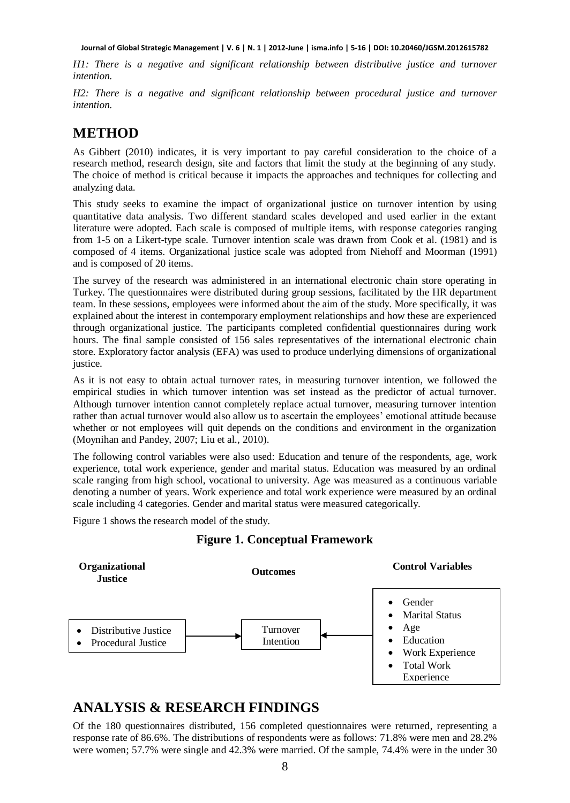*H1: There is a negative and significant relationship between distributive justice and turnover intention.* 

*H2: There is a negative and significant relationship between procedural justice and turnover intention.*

### **METHOD**

As Gibbert (2010) indicates, it is very important to pay careful consideration to the choice of a research method, research design, site and factors that limit the study at the beginning of any study. The choice of method is critical because it impacts the approaches and techniques for collecting and analyzing data.

This study seeks to examine the impact of organizational justice on turnover intention by using quantitative data analysis. Two different standard scales developed and used earlier in the extant literature were adopted. Each scale is composed of multiple items, with response categories ranging from 1-5 on a Likert-type scale. Turnover intention scale was drawn from Cook et al. (1981) and is composed of 4 items. Organizational justice scale was adopted from Niehoff and Moorman (1991) and is composed of 20 items.

The survey of the research was administered in an international electronic chain store operating in Turkey. The questionnaires were distributed during group sessions, facilitated by the HR department team. In these sessions, employees were informed about the aim of the study. More specifically, it was explained about the interest in contemporary employment relationships and how these are experienced through organizational justice. The participants completed confidential questionnaires during work hours. The final sample consisted of 156 sales representatives of the international electronic chain store. Exploratory factor analysis (EFA) was used to produce underlying dimensions of organizational justice.

As it is not easy to obtain actual turnover rates, in measuring turnover intention, we followed the empirical studies in which turnover intention was set instead as the predictor of actual turnover. Although turnover intention cannot completely replace actual turnover, measuring turnover intention rather than actual turnover would also allow us to ascertain the employees' emotional attitude because whether or not employees will quit depends on the conditions and environment in the organization (Moynihan and Pandey, 2007; Liu et al., 2010).

The following control variables were also used: Education and tenure of the respondents, age, work experience, total work experience, gender and marital status. Education was measured by an ordinal scale ranging from high school, vocational to university. Age was measured as a continuous variable denoting a number of years. Work experience and total work experience were measured by an ordinal scale including 4 categories. Gender and marital status were measured categorically.

Figure 1 shows the research model of the study.



#### **Figure 1. Conceptual Framework**

### **ANALYSIS & RESEARCH FINDINGS**

Of the 180 questionnaires distributed, 156 completed questionnaires were returned, representing a response rate of 86.6%. The distributions of respondents were as follows: 71.8% were men and 28.2% were women; 57.7% were single and 42.3% were married. Of the sample, 74.4% were in the under 30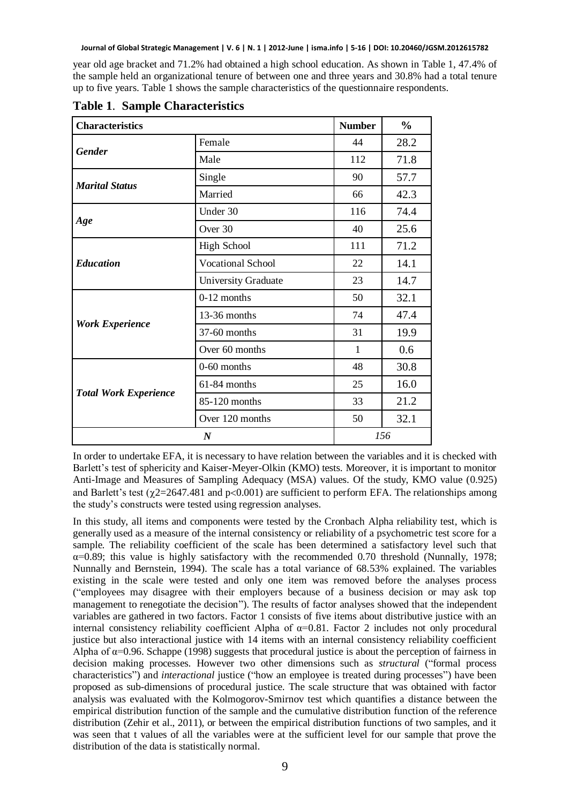year old age bracket and 71.2% had obtained a high school education. As shown in Table 1, 47.4% of the sample held an organizational tenure of between one and three years and 30.8% had a total tenure up to five years. Table 1 shows the sample characteristics of the questionnaire respondents.

| <b>Characteristics</b>       |                          | <b>Number</b> | $\frac{0}{0}$ |
|------------------------------|--------------------------|---------------|---------------|
| <b>Gender</b>                | Female                   | 44            | 28.2          |
|                              | Male                     | 112           | 71.8          |
| <b>Marital Status</b>        | Single                   | 90            | 57.7          |
|                              | Married                  | 66            | 42.3          |
| Age                          | Under 30                 | 116           | 74.4          |
|                              | Over 30                  | 40            | 25.6          |
| <b>Education</b>             | <b>High School</b>       | 111           | 71.2          |
|                              | <b>Vocational School</b> | 22            | 14.1          |
|                              | University Graduate      | 23            | 14.7          |
| <b>Work Experience</b>       | $0-12$ months            | 50            | 32.1          |
|                              | 13-36 months             | 74            | 47.4          |
|                              | 37-60 months             | 31            | 19.9          |
|                              | Over 60 months           | 1             | 0.6           |
| <b>Total Work Experience</b> | $0-60$ months            | 48            | 30.8          |
|                              | 61-84 months             | 25            | 16.0          |
|                              | 85-120 months            | 33            | 21.2          |
|                              | Over 120 months          | 50            | 32.1          |
| $\boldsymbol{N}$             |                          | 156           |               |

**Table 1**. **Sample Characteristics** 

In order to undertake EFA, it is necessary to have relation between the variables and it is checked with Barlett's test of sphericity and Kaiser-Meyer-Olkin (KMO) tests. Moreover, it is important to monitor Anti-Image and Measures of Sampling Adequacy (MSA) values. Of the study, KMO value (0.925) and Barlett's test ( $\chi$ 2=2647.481 and p<0.001) are sufficient to perform EFA. The relationships among the study's constructs were tested using regression analyses.

In this study, all items and components were tested by the Cronbach Alpha reliability test, which is generally used as a measure of the internal consistency or reliability of a psychometric test score for a sample. The reliability coefficient of the scale has been determined a satisfactory level such that  $\alpha$ =0.89; this value is highly satisfactory with the recommended 0.70 threshold (Nunnally, 1978; Nunnally and Bernstein, 1994). The scale has a total variance of 68.53% explained. The variables existing in the scale were tested and only one item was removed before the analyses process ("employees may disagree with their employers because of a business decision or may ask top management to renegotiate the decision"). The results of factor analyses showed that the independent variables are gathered in two factors. Factor 1 consists of five items about distributive justice with an internal consistency reliability coefficient Alpha of  $\alpha$ =0.81. Factor 2 includes not only procedural justice but also interactional justice with 14 items with an internal consistency reliability coefficient Alpha of  $\alpha$ =0.96. Schappe (1998) suggests that procedural justice is about the perception of fairness in decision making processes. However two other dimensions such as *structural* ("formal process characteristics") and *interactional* justice ("how an employee is treated during processes") have been proposed as sub-dimensions of procedural justice. The scale structure that was obtained with factor analysis was evaluated with the Kolmogorov-Smirnov test which quantifies a distance between the empirical distribution function of the sample and the cumulative distribution function of the reference distribution (Zehir et al., 2011), or between the empirical distribution functions of two samples, and it was seen that t values of all the variables were at the sufficient level for our sample that prove the distribution of the data is statistically normal.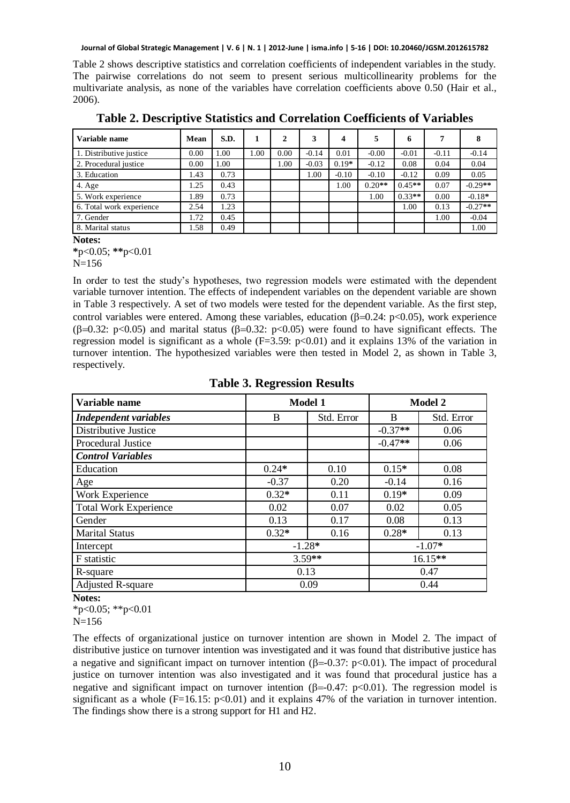Table 2 shows descriptive statistics and correlation coefficients of independent variables in the study. The pairwise correlations do not seem to present serious multicollinearity problems for the multivariate analysis, as none of the variables have correlation coefficients above 0.50 (Hair et al., 2006).

| Variable name            | Mean | S.D. | 1    | 2    |         | 4       |          | 6        |         | 8         |
|--------------------------|------|------|------|------|---------|---------|----------|----------|---------|-----------|
| 1. Distributive justice  | 0.00 | .00. | 0.00 | 0.00 | $-0.14$ | 0.01    | $-0.00$  | $-0.01$  | $-0.11$ | $-0.14$   |
| 2. Procedural justice    | 0.00 | .00. |      | 00.1 | $-0.03$ | $0.19*$ | $-0.12$  | 0.08     | 0.04    | 0.04      |
| 3. Education             | 1.43 | 0.73 |      |      | 1.00    | $-0.10$ | $-0.10$  | $-0.12$  | 0.09    | 0.05      |
| 4. Age                   | 1.25 | 0.43 |      |      |         | 1.00    | $0.20**$ | $0.45**$ | 0.07    | $-0.29**$ |
| 5. Work experience       | 1.89 | 0.73 |      |      |         |         | 1.00     | $0.33**$ | 0.00    | $-0.18*$  |
| 6. Total work experience | 2.54 | 1.23 |      |      |         |         |          | 1.00     | 0.13    | $-0.27**$ |
| 7. Gender                | 1.72 | 0.45 |      |      |         |         |          |          | 1.00    | $-0.04$   |
| 8. Marital status        | 1.58 | 0.49 |      |      |         |         |          |          |         | 1.00      |

**Table 2. Descriptive Statistics and Correlation Coefficients of Variables** 

**\***p<0.05; **\*\***p<0.01

 $N=156$ 

In order to test the study's hypotheses, two regression models were estimated with the dependent variable turnover intention. The effects of independent variables on the dependent variable are shown in Table 3 respectively. A set of two models were tested for the dependent variable. As the first step, control variables were entered. Among these variables, education  $(\beta=0.24: p<0.05)$ , work experience ( $\beta$ =0.32: p<0.05) and marital status ( $\beta$ =0.32: p<0.05) were found to have significant effects. The regression model is significant as a whole  $(F=3.59: p<0.01)$  and it explains 13% of the variation in turnover intention. The hypothesized variables were then tested in Model 2, as shown in Table 3, respectively.

| Variable name                | Model 1  |            | Model 2   |            |
|------------------------------|----------|------------|-----------|------------|
| <b>Independent variables</b> | B        | Std. Error | B         | Std. Error |
| Distributive Justice         |          |            | $-0.37**$ | 0.06       |
| Procedural Justice           |          |            | $-0.47**$ | 0.06       |
| <b>Control Variables</b>     |          |            |           |            |
| Education                    | $0.24*$  | 0.10       | $0.15*$   | 0.08       |
| Age                          | $-0.37$  | 0.20       | $-0.14$   | 0.16       |
| Work Experience              | $0.32*$  | 0.11       | $0.19*$   | 0.09       |
| <b>Total Work Experience</b> | 0.02     | 0.07       | 0.02      | 0.05       |
| Gender                       | 0.13     | 0.17       | 0.08      | 0.13       |
| <b>Marital Status</b>        | $0.32*$  | 0.16       | $0.28*$   | 0.13       |
| Intercept                    | $-1.28*$ |            | $-1.07*$  |            |
| F statistic                  | $3.59**$ |            | 16.15**   |            |
| R-square                     | 0.13     |            | 0.47      |            |
| <b>Adjusted R-square</b>     | 0.09     |            | 0.44      |            |

#### **Table 3. Regression Results**

**Notes:** 

 $*p<0.05$ ;  $*p<0.01$ 

The effects of organizational justice on turnover intention are shown in Model 2. The impact of distributive justice on turnover intention was investigated and it was found that distributive justice has a negative and significant impact on turnover intention ( $\beta = 0.37$ :  $p < 0.01$ ). The impact of procedural justice on turnover intention was also investigated and it was found that procedural justice has a negative and significant impact on turnover intention ( $\beta$ =-0.47: p<0.01). The regression model is significant as a whole  $(F=16.15: p<0.01)$  and it explains 47% of the variation in turnover intention. The findings show there is a strong support for H1 and H2.

**Notes:** 

N=156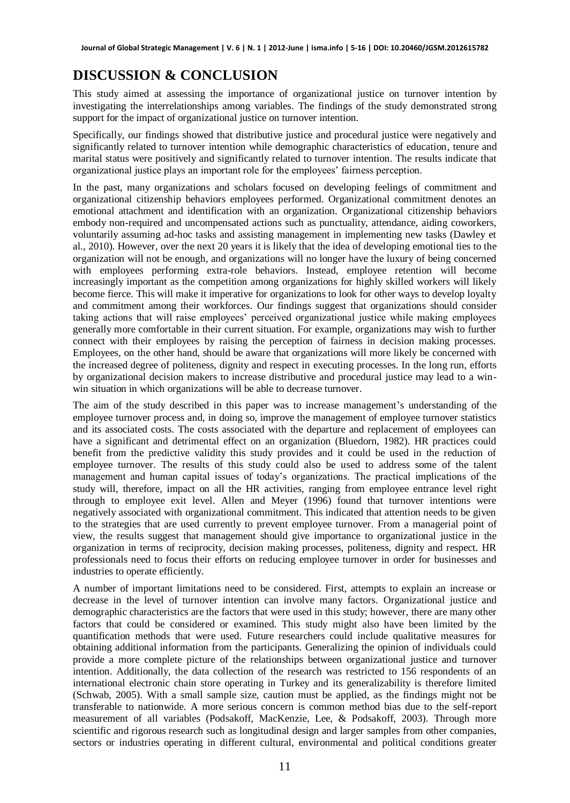## **DISCUSSION & CONCLUSION**

This study aimed at assessing the importance of organizational justice on turnover intention by investigating the interrelationships among variables. The findings of the study demonstrated strong support for the impact of organizational justice on turnover intention.

Specifically, our findings showed that distributive justice and procedural justice were negatively and significantly related to turnover intention while demographic characteristics of education, tenure and marital status were positively and significantly related to turnover intention. The results indicate that organizational justice plays an important role for the employees' fairness perception.

In the past, many organizations and scholars focused on developing feelings of commitment and organizational citizenship behaviors employees performed. Organizational commitment denotes an emotional attachment and identification with an organization. Organizational citizenship behaviors embody non-required and uncompensated actions such as punctuality, attendance, aiding coworkers, voluntarily assuming ad-hoc tasks and assisting management in implementing new tasks (Dawley et al., 2010). However, over the next 20 years it is likely that the idea of developing emotional ties to the organization will not be enough, and organizations will no longer have the luxury of being concerned with employees performing extra-role behaviors. Instead, employee retention will become increasingly important as the competition among organizations for highly skilled workers will likely become fierce. This will make it imperative for organizations to look for other ways to develop loyalty and commitment among their workforces. Our findings suggest that organizations should consider taking actions that will raise employees' perceived organizational justice while making employees generally more comfortable in their current situation. For example, organizations may wish to further connect with their employees by raising the perception of fairness in decision making processes. Employees, on the other hand, should be aware that organizations will more likely be concerned with the increased degree of politeness, dignity and respect in executing processes. In the long run, efforts by organizational decision makers to increase distributive and procedural justice may lead to a winwin situation in which organizations will be able to decrease turnover.

The aim of the study described in this paper was to increase management's understanding of the employee turnover process and, in doing so, improve the management of employee turnover statistics and its associated costs. The costs associated with the departure and replacement of employees can have a significant and detrimental effect on an organization (Bluedorn, 1982). HR practices could benefit from the predictive validity this study provides and it could be used in the reduction of employee turnover. The results of this study could also be used to address some of the talent management and human capital issues of today's organizations. The practical implications of the study will, therefore, impact on all the HR activities, ranging from employee entrance level right through to employee exit level. Allen and Meyer (1996) found that turnover intentions were negatively associated with organizational commitment. This indicated that attention needs to be given to the strategies that are used currently to prevent employee turnover. From a managerial point of view, the results suggest that management should give importance to organizational justice in the organization in terms of reciprocity, decision making processes, politeness, dignity and respect. HR professionals need to focus their efforts on reducing employee turnover in order for businesses and industries to operate efficiently.

A number of important limitations need to be considered. First, attempts to explain an increase or decrease in the level of turnover intention can involve many factors. Organizational justice and demographic characteristics are the factors that were used in this study; however, there are many other factors that could be considered or examined. This study might also have been limited by the quantification methods that were used. Future researchers could include qualitative measures for obtaining additional information from the participants. Generalizing the opinion of individuals could provide a more complete picture of the relationships between organizational justice and turnover intention. Additionally, the data collection of the research was restricted to 156 respondents of an international electronic chain store operating in Turkey and its generalizability is therefore limited (Schwab, 2005). With a small sample size, caution must be applied, as the findings might not be transferable to nationwide. A more serious concern is common method bias due to the self-report measurement of all variables (Podsakoff, MacKenzie, Lee, & Podsakoff, 2003). Through more scientific and rigorous research such as longitudinal design and larger samples from other companies, sectors or industries operating in different cultural, environmental and political conditions greater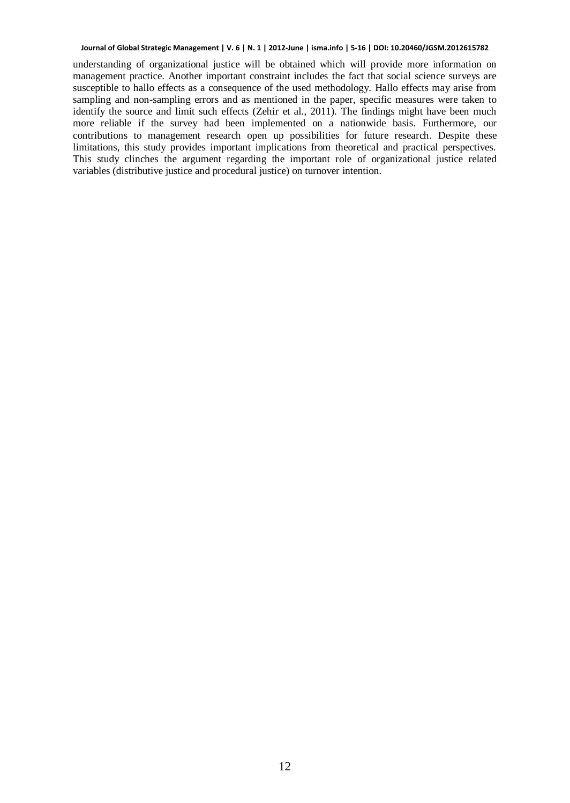understanding of organizational justice will be obtained which will provide more information on management practice. Another important constraint includes the fact that social science surveys are susceptible to hallo effects as a consequence of the used methodology. Hallo effects may arise from sampling and non-sampling errors and as mentioned in the paper, specific measures were taken to identify the source and limit such effects (Zehir et al., 2011). The findings might have been much more reliable if the survey had been implemented on a nationwide basis. Furthermore, our contributions to management research open up possibilities for future research. Despite these limitations, this study provides important implications from theoretical and practical perspectives. This study clinches the argument regarding the important role of organizational justice related variables (distributive justice and procedural justice) on turnover intention.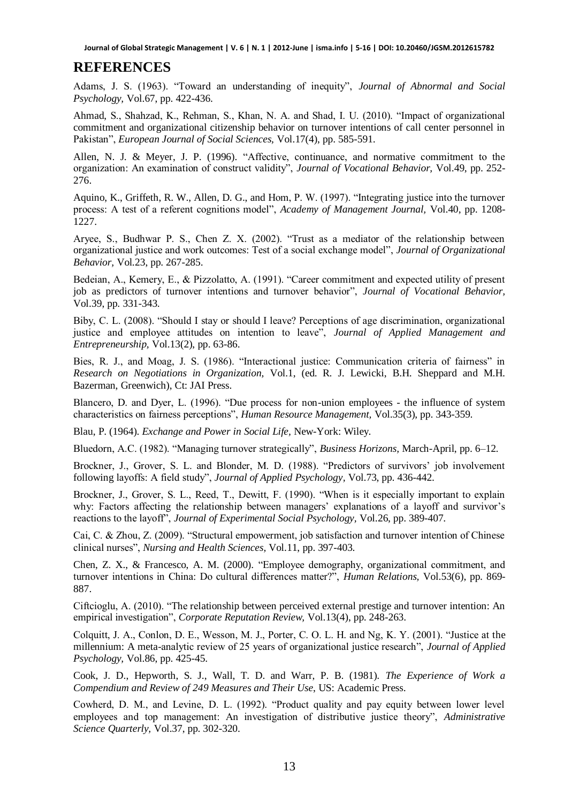#### **REFERENCES**

Adams, J. S. (1963). "Toward an understanding of inequity", *Journal of Abnormal and Social Psychology,* Vol.67, pp. 422-436.

Ahmad, S., Shahzad, K., Rehman, S., Khan, N. A. and Shad, I. U. (2010). "Impact of organizational commitment and organizational citizenship behavior on turnover intentions of call center personnel in Pakistan", *European Journal of Social Sciences,* Vol.17(4), pp. 585-591.

Allen, N. J. & Meyer, J. P. (1996). "Affective, continuance, and normative commitment to the organization: An examination of construct validity", *Journal of Vocational Behavior,* Vol.49, pp. 252- 276.

Aquino, K., Griffeth, R. W., Allen, D. G., and Hom, P. W. (1997). "Integrating justice into the turnover process: A test of a referent cognitions model", *Academy of Management Journal,* Vol.40, pp. 1208- 1227.

Aryee, S., Budhwar P. S., Chen Z. X. (2002). "Trust as a mediator of the relationship between organizational justice and work outcomes: Test of a social exchange model", *Journal of Organizational Behavior,* Vol.23, pp. 267-285.

Bedeian, A., Kemery, E., & Pizzolatto, A. (1991). "Career commitment and expected utility of present job as predictors of turnover intentions and turnover behavior", *Journal of Vocational Behavior,* Vol.39, pp. 331-343.

Biby, C. L. (2008). "Should I stay or should I leave? Perceptions of age discrimination, organizational justice and employee attitudes on intention to leave", *Journal of Applied Management and Entrepreneurship,* Vol.13(2), pp. 63-86.

Bies, R. J., and Moag, J. S. (1986). "Interactional justice: Communication criteria of fairness" in *Research on Negotiations in Organization,* Vol.1, (ed. R. J. Lewicki, B.H. Sheppard and M.H. Bazerman, Greenwich), Ct: JAI Press.

Blancero, D. and Dyer, L. (1996). "Due process for non-union employees - the influence of system characteristics on fairness perceptions", *Human Resource Management,* Vol.35(3), pp. 343-359.

Blau, P. (1964). *Exchange and Power in Social Life,* New-York: Wiley.

Bluedorn, A.C. (1982). "Managing turnover strategically", *Business Horizons,* March-April, pp. 6–12.

Brockner, J., Grover, S. L. and Blonder, M. D. (1988). "Predictors of survivors' job involvement following layoffs: A field study", *Journal of Applied Psychology,* Vol.73, pp. 436-442.

Brockner, J., Grover, S. L., Reed, T., Dewitt, F. (1990). "When is it especially important to explain why: Factors affecting the relationship between managers' explanations of a layoff and survivor's reactions to the layoff", *Journal of Experimental Social Psychology,* Vol.26, pp. 389-407.

Cai, C. & Zhou, Z. (2009). "Structural empowerment, job satisfaction and turnover intention of Chinese clinical nurses", *Nursing and Health Sciences,* Vol.11, pp. 397-403.

Chen, Z. X., & Francesco, A. M. (2000). "Employee demography, organizational commitment, and turnover intentions in China: Do cultural differences matter?", *Human Relations,* Vol.53(6), pp. 869- 887.

Ciftcioglu, A. (2010). "The relationship between perceived external prestige and turnover intention: An empirical investigation", *Corporate Reputation Review,* Vol.13(4), pp. 248-263.

Colquitt, J. A., Conlon, D. E., Wesson, M. J., Porter, C. O. L. H. and Ng, K. Y. (2001). "Justice at the millennium: A meta-analytic review of 25 years of organizational justice research", *Journal of Applied Psychology,* Vol.86, pp. 425-45.

Cook, J. D., Hepworth, S. J., Wall, T. D. and Warr, P. B. (1981). *The Experience of Work a Compendium and Review of 249 Measures and Their Use*, US: Academic Press.

Cowherd, D. M., and Levine, D. L. (1992). "Product quality and pay equity between lower level employees and top management: An investigation of distributive justice theory", *Administrative Science Quarterly,* Vol.37, pp. 302-320.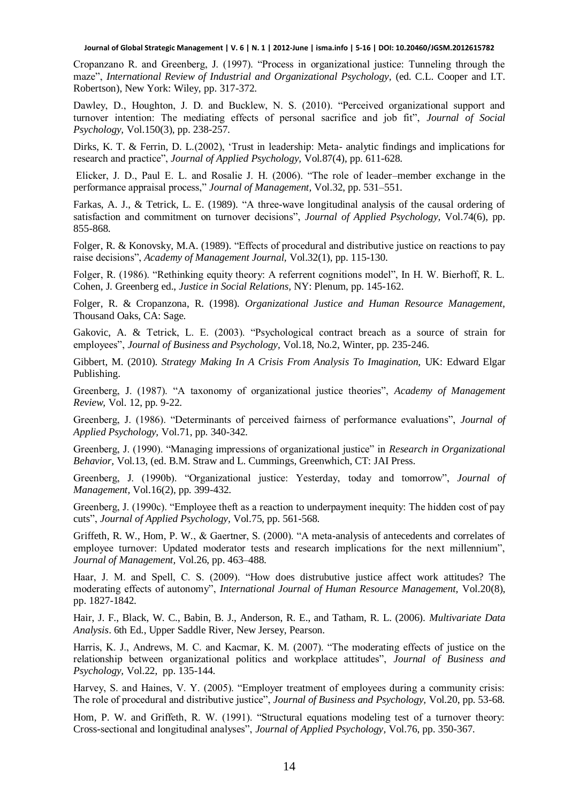Cropanzano R. and Greenberg, J. (1997). "Process in organizational justice: Tunneling through the maze", *International Review of Industrial and Organizational Psychology,* (ed. C.L. Cooper and I.T. Robertson), New York: Wiley, pp. 317-372.

Dawley, D., Houghton, J. D. and Bucklew, N. S. (2010). "Perceived organizational support and turnover intention: The mediating effects of personal sacrifice and job fit", *Journal of Social Psychology,* Vol.150(3), pp. 238-257.

Dirks, K. T. & Ferrin, D. L.(2002), 'Trust in leadership: Meta- analytic findings and implications for research and practice", *Journal of Applied Psychology,* Vol.87(4), pp. 611-628.

Elicker, J. D., Paul E. L. and Rosalie J. H. (2006). "The role of leader–member exchange in the performance appraisal process," *Journal of Management,* Vol.32, pp. 531–551.

Farkas, A. J., & Tetrick, L. E. (1989). "A three-wave longitudinal analysis of the causal ordering of satisfaction and commitment on turnover decisions", *Journal of Applied Psychology,* Vol.74(6), pp. 855-868.

Folger, R. & Konovsky, M.A. (1989). "Effects of procedural and distributive justice on reactions to pay raise decisions", *Academy of Management Journal,* Vol.32(1), pp. 115-130.

Folger, R. (1986). "Rethinking equity theory: A referrent cognitions model", In H. W. Bierhoff, R. L. Cohen, J. Greenberg ed., *Justice in Social Relations,* NY: Plenum, pp. 145-162.

Folger, R. & Cropanzona, R. (1998). *Organizational Justice and Human Resource Management,* Thousand Oaks, CA: Sage.

Gakovic, A. & Tetrick, L. E. (2003). "Psychological contract breach as a source of strain for employees", *Journal of Business and Psychology,* Vol.18, No.2, Winter, pp. 235-246.

Gibbert, M. (2010). *Strategy Making In A Crisis From Analysis To Imagination,* UK: Edward Elgar Publishing.

Greenberg, J. (1987). "A taxonomy of organizational justice theories", *Academy of Management Review,* Vol. 12, pp. 9-22.

Greenberg, J. (1986). "Determinants of perceived fairness of performance evaluations", *Journal of Applied Psychology,* Vol.71, pp. 340-342.

Greenberg, J. (1990). "Managing impressions of organizational justice" in *Research in Organizational Behavior,* Vol.13, (ed. B.M. Straw and L. Cummings, Greenwhich, CT: JAI Press.

Greenberg, J. (1990b). "Organizational justice: Yesterday, today and tomorrow", *Journal of Management,* Vol.16(2), pp. 399-432.

Greenberg, J. (1990c). "Employee theft as a reaction to underpayment inequity: The hidden cost of pay cuts", *Journal of Applied Psychology,* Vol.75, pp. 561-568.

Griffeth, R. W., Hom, P. W., & Gaertner, S. (2000). "A meta-analysis of antecedents and correlates of employee turnover: Updated moderator tests and research implications for the next millennium", *Journal of Management,* Vol.26, pp. 463–488.

Haar, J. M. and Spell, C. S. (2009). "How does distrubutive justice affect work attitudes? The moderating effects of autonomy", *International Journal of Human Resource Management,* Vol.20(8), pp. 1827-1842.

Hair, J. F., Black, W. C., Babin, B. J., Anderson, R. E., and Tatham, R. L. (2006). *Multivariate Data Analysis*. 6th Ed., Upper Saddle River, New Jersey, Pearson.

Harris, K. J., Andrews, M. C. and Kacmar, K. M. (2007). "The moderating effects of justice on the relationship between organizational politics and workplace attitudes", *Journal of Business and Psychology,* Vol.22, pp. 135-144.

Harvey, S. and Haines, V. Y. (2005). "Employer treatment of employees during a community crisis: The role of procedural and distributive justice", *Journal of Business and Psychology,* Vol.20, pp. 53-68.

Hom, P. W. and Griffeth, R. W. (1991). "Structural equations modeling test of a turnover theory: Cross-sectional and longitudinal analyses", *Journal of Applied Psychology,* Vol.76, pp. 350-367.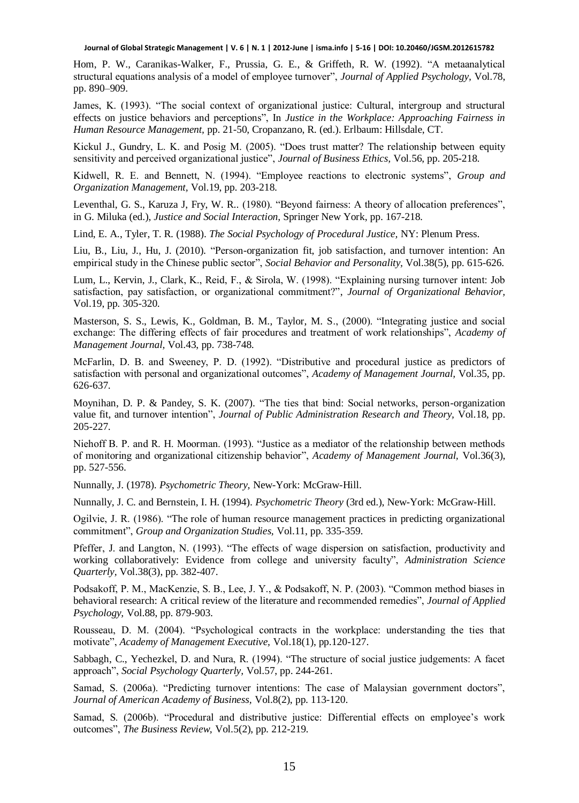Hom, P. W., Caranikas-Walker, F., Prussia, G. E., & Griffeth, R. W. (1992). "A metaanalytical structural equations analysis of a model of employee turnover", *Journal of Applied Psychology,* Vol.78, pp. 890–909.

James, K. (1993). "The social context of organizational justice: Cultural, intergroup and structural effects on justice behaviors and perceptions", In *Justice in the Workplace: Approaching Fairness in Human Resource Management,* pp. 21-50, Cropanzano, R. (ed.). Erlbaum: Hillsdale, CT.

Kickul J., Gundry, L. K. and Posig M. (2005). "Does trust matter? The relationship between equity sensitivity and perceived organizational justice", *Journal of Business Ethics,* Vol.56, pp. 205-218.

Kidwell, R. E. and Bennett, N. (1994). "Employee reactions to electronic systems", *Group and Organization Management,* Vol.19, pp. 203-218.

Leventhal, G. S., Karuza J, Fry, W. R.. (1980). "Beyond fairness: A theory of allocation preferences", in G. Miluka (ed.), *Justice and Social Interaction,* Springer New York, pp. 167-218.

Lind, E. A., Tyler, T. R. (1988). *The Social Psychology of Procedural Justice,* NY: Plenum Press.

Liu, B., Liu, J., Hu, J. (2010). "Person-organization fit, job satisfaction, and turnover intention: An empirical study in the Chinese public sector", *Social Behavior and Personality,* Vol.38(5), pp. 615-626.

Lum, L., Kervin, J., Clark, K., Reid, F., & Sirola, W. (1998). "Explaining nursing turnover intent: Job satisfaction, pay satisfaction, or organizational commitment?", *Journal of Organizational Behavior,*  Vol.19, pp. 305-320.

Masterson, S. S., Lewis, K., Goldman, B. M., Taylor, M. S., (2000). "Integrating justice and social exchange: The differing effects of fair procedures and treatment of work relationships", *Academy of Management Journal,* Vol.43, pp. 738-748.

McFarlin, D. B. and Sweeney, P. D. (1992). "Distributive and procedural justice as predictors of satisfaction with personal and organizational outcomes", *Academy of Management Journal,* Vol.35, pp. 626-637.

Moynihan, D. P. & Pandey, S. K. (2007). "The ties that bind: Social networks, person-organization value fit, and turnover intention", *Journal of Public Administration Research and Theory,* Vol.18, pp. 205-227.

Niehoff B. P. and R. H. Moorman. (1993). "Justice as a mediator of the relationship between methods of monitoring and organizational citizenship behavior", *Academy of Management Journal,* Vol.36(3), pp. 527-556.

Nunnally, J. (1978). *Psychometric Theory,* New-York: McGraw-Hill.

Nunnally, J. C. and Bernstein, I. H. (1994). *Psychometric Theory* (3rd ed.), New-York: McGraw-Hill.

Ogilvie, J. R. (1986). "The role of human resource management practices in predicting organizational commitment", *Group and Organization Studies,* Vol.11, pp. 335-359.

Pfeffer, J. and Langton, N. (1993). "The effects of wage dispersion on satisfaction, productivity and working collaboratively: Evidence from college and university faculty", *Administration Science Quarterly,* Vol.38(3), pp. 382-407.

Podsakoff, P. M., MacKenzie, S. B., Lee, J. Y., & Podsakoff, N. P. (2003). "Common method biases in behavioral research: A critical review of the literature and recommended remedies", *Journal of Applied Psychology,* Vol.88, pp. 879-903.

Rousseau, D. M. (2004). "Psychological contracts in the workplace: understanding the ties that motivate", *Academy of Management Executive,* Vol.18(1), pp.120-127.

Sabbagh, C., Yechezkel, D. and Nura, R. (1994). "The structure of social justice judgements: A facet approach", *Social Psychology Quarterly,* Vol.57, pp. 244-261.

Samad, S. (2006a). "Predicting turnover intentions: The case of Malaysian government doctors", *Journal of American Academy of Business,* Vol.8(2), pp. 113-120.

Samad, S. (2006b). "Procedural and distributive justice: Differential effects on employee's work outcomes", *The Business Review,* Vol.5(2), pp. 212-219.